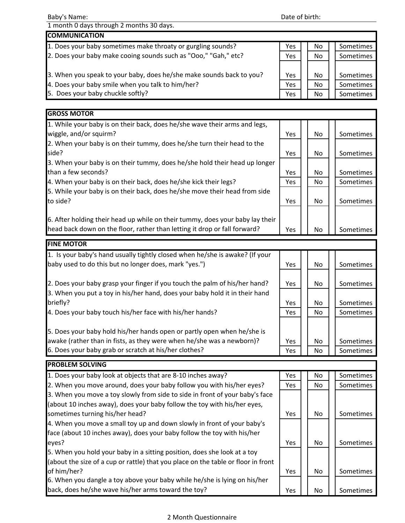| Baby's Name:                                                                  |     | Date of birth: |           |  |  |
|-------------------------------------------------------------------------------|-----|----------------|-----------|--|--|
| 1 month 0 days through 2 months 30 days.                                      |     |                |           |  |  |
| <b>COMMUNICATION</b>                                                          |     |                |           |  |  |
| 1. Does your baby sometimes make throaty or gurgling sounds?                  | Yes | No             | Sometimes |  |  |
| 2. Does your baby make cooing sounds such as "Ooo," "Gah," etc?               | Yes | No             | Sometimes |  |  |
| 3. When you speak to your baby, does he/she make sounds back to you?          | Yes | No             | Sometimes |  |  |
| 4. Does your baby smile when you talk to him/her?                             | Yes | No             | Sometimes |  |  |
| 5. Does your baby chuckle softly?                                             | Yes | No             | Sometimes |  |  |
| <b>GROSS MOTOR</b>                                                            |     |                |           |  |  |
| 1. While your baby is on their back, does he/she wave their arms and legs,    |     |                |           |  |  |
| wiggle, and/or squirm?                                                        | Yes | No.            | Sometimes |  |  |
| 2. When your baby is on their tummy, does he/she turn their head to the       |     |                |           |  |  |
| side?                                                                         | Yes | No             | Sometimes |  |  |
| 3. When your baby is on their tummy, does he/she hold their head up longer    |     |                |           |  |  |
| than a few seconds?                                                           | Yes | No             | Sometimes |  |  |
| 4. When your baby is on their back, does he/she kick their legs?              | Yes | No             | Sometimes |  |  |
| 5. While your baby is on their back, does he/she move their head from side    |     |                |           |  |  |
| to side?                                                                      | Yes | No.            | Sometimes |  |  |
| 6. After holding their head up while on their tummy, does your baby lay their |     |                |           |  |  |
| head back down on the floor, rather than letting it drop or fall forward?     | Yes | N <sub>o</sub> | Sometimes |  |  |
| <b>FINE MOTOR</b>                                                             |     |                |           |  |  |
| 1. Is your baby's hand usually tightly closed when he/she is awake? (If your  |     |                |           |  |  |
| baby used to do this but no longer does, mark "yes.")                         | Yes | N <sub>o</sub> | Sometimes |  |  |
| 2. Does your baby grasp your finger if you touch the palm of his/her hand?    | Yes | No             | Sometimes |  |  |
| 3. When you put a toy in his/her hand, does your baby hold it in their hand   |     |                |           |  |  |
| briefly?                                                                      | Yes | No             | Sometimes |  |  |
| 4. Does your baby touch his/her face with his/her hands?                      | Yes | No.            | Sometimes |  |  |
|                                                                               |     |                |           |  |  |

5. Does your baby hold his/her hands open or partly open when he/she is awake (rather than in fists, as they were when he/she was a newborn)?  $\blacksquare$  Yes  $\blacksquare$  No  $\blacksquare$  Sometimes 6. Does your baby grab or scratch at his/her clothes? Yes No Sometimes

| <b>PROBLEM SOLVING</b>                                                            |            |     |           |
|-----------------------------------------------------------------------------------|------------|-----|-----------|
| 1. Does your baby look at objects that are 8-10 inches away?                      | Yes        | No  | Sometimes |
| 2. When you move around, does your baby follow you with his/her eyes?             | <b>Yes</b> | No. | Sometimes |
| 3. When you move a toy slowly from side to side in front of your baby's face      |            |     |           |
| (about 10 inches away), does your baby follow the toy with his/her eyes,          |            |     |           |
| sometimes turning his/her head?                                                   | Yes        | No. | Sometimes |
| 4. When you move a small toy up and down slowly in front of your baby's           |            |     |           |
| face (about 10 inches away), does your baby follow the toy with his/her           |            |     |           |
| eyes?                                                                             | Yes        | No. | Sometimes |
| 5. When you hold your baby in a sitting position, does she look at a toy          |            |     |           |
| (about the size of a cup or rattle) that you place on the table or floor in front |            |     |           |
| of him/her?                                                                       | Yes        | No. | Sometimes |
| 6. When you dangle a toy above your baby while he/she is lying on his/her         |            |     |           |
| back, does he/she wave his/her arms toward the toy?                               | Yes        | No. | Sometimes |